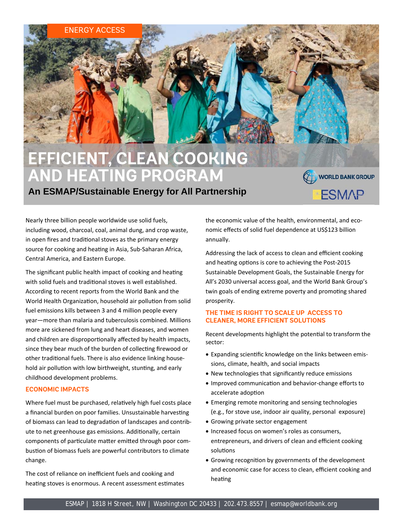# **EFFICIENT, CLEAN COOKING AND HEATING PROGRAM**

## **An ESMAP/Sustainable Energy for All Partnership**

Nearly three billion people worldwide use solid fuels, including wood, charcoal, coal, animal dung, and crop waste, in open fires and traditional stoves as the primary energy source for cooking and heating in Asia, Sub-Saharan Africa, Central America, and Eastern Europe.

ENERGY ACCESS

The significant public health impact of cooking and heating with solid fuels and traditional stoves is well established. According to recent reports from the World Bank and the World Health Organization, household air pollution from solid fuel emissions kills between 3 and 4 million people every year—more than malaria and tuberculosis combined. Millions more are sickened from lung and heart diseases, and women and children are disproportionally affected by health impacts, since they bear much of the burden of collecting firewood or other traditional fuels. There is also evidence linking household air pollution with low birthweight, stunting, and early childhood development problems.

#### **ECONOMIC IMPACTS**

Where fuel must be purchased, relatively high fuel costs place a financial burden on poor families. Unsustainable harvesting of biomass can lead to degradation of landscapes and contribute to net greenhouse gas emissions. Additionally, certain components of particulate matter emitted through poor combustion of biomass fuels are powerful contributors to climate change.

The cost of reliance on inefficient fuels and cooking and heating stoves is enormous. A recent assessment estimates the economic value of the health, environmental, and eco‐ nomic effects of solid fuel dependence at US\$123 billion annually.

WORLD BANK GROUP

**ESMAP** 

Addressing the lack of access to clean and efficient cooking and heating options is core to achieving the Post-2015 Sustainable Development Goals, the Sustainable Energy for All's 2030 universal access goal, and the World Bank Group's twin goals of ending extreme poverty and promoting shared prosperity.

### **THE TIME IS RIGHT TO SCALE UP ACCESS TO CLEANER, MORE EFFICIENT SOLUTIONS**

Recent developments highlight the potential to transform the sector:

- Expanding scientific knowledge on the links between emissions, climate, health, and social impacts
- New technologies that significantly reduce emissions
- Improved communication and behavior-change efforts to accelerate adoption
- Emerging remote monitoring and sensing technologies (e.g., for stove use, indoor air quality, personal exposure)
- Growing private sector engagement
- Increased focus on women's roles as consumers, entrepreneurs, and drivers of clean and efficient cooking solutions
- Growing recognition by governments of the development and economic case for access to clean, efficient cooking and heating